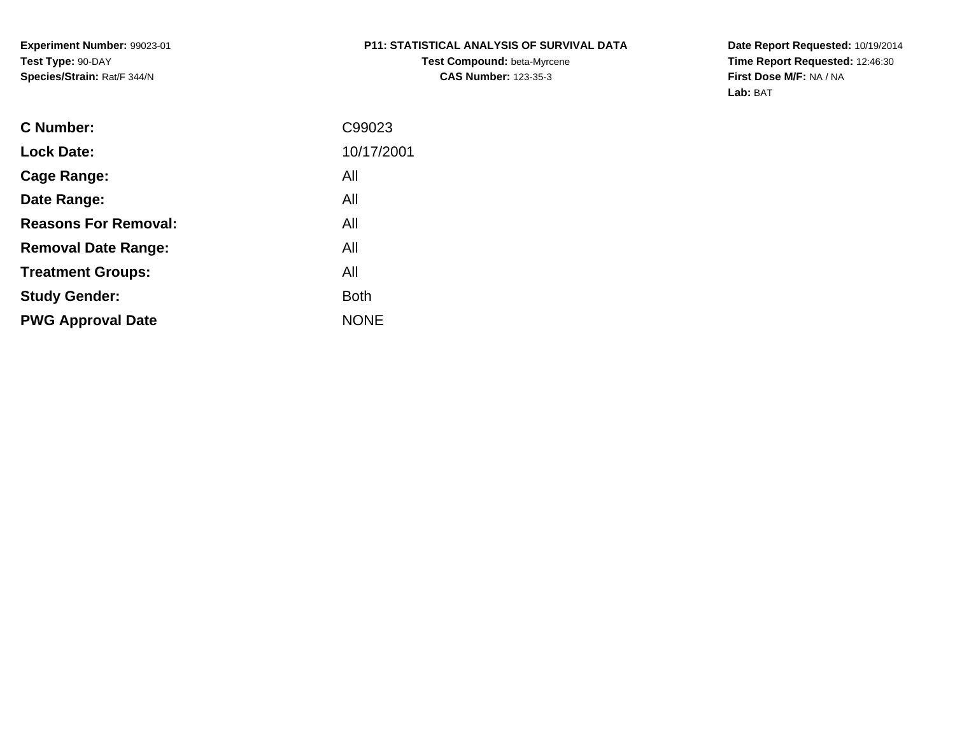**Experiment Number:** 99023-01**Test Type:** 90-DAY**Species/Strain:** Rat/F 344/N

# **P11: STATISTICAL ANALYSIS OF SURVIVAL DATA**

**Test Compound:** beta-Myrcene**CAS Number:** 123-35-3

**Date Report Requested:** 10/19/2014 **Time Report Requested:** 12:46:30**First Dose M/F:** NA / NA**Lab:** BAT

| C99023      |
|-------------|
| 10/17/2001  |
| All         |
| All         |
| All         |
| All         |
| All         |
| <b>Both</b> |
| <b>NONE</b> |
|             |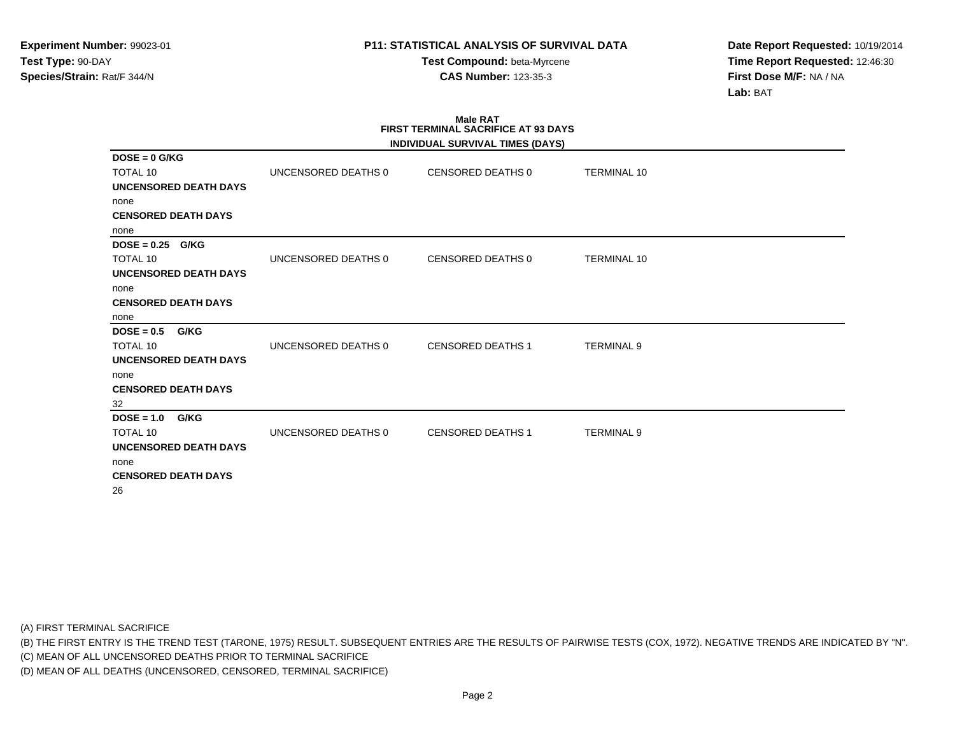**Test Compound:** beta-Myrcene**CAS Number:** 123-35-3

**Date Report Requested:** 10/19/2014**Time Report Requested:** 12:46:30**First Dose M/F:** NA / NA**Lab:** BAT

#### **Male RAT FIRST TERMINAL SACRIFICE AT 93 DAYSINDIVIDUAL SURVIVAL TIMES (DAYS)**

| UNCENSORED DEATHS 0 | CENSORED DEATHS 0        | <b>TERMINAL 10</b> |                                  |
|---------------------|--------------------------|--------------------|----------------------------------|
|                     |                          |                    |                                  |
|                     |                          |                    |                                  |
|                     |                          |                    |                                  |
|                     |                          |                    |                                  |
|                     |                          |                    |                                  |
| UNCENSORED DEATHS 0 | CENSORED DEATHS 0        | <b>TERMINAL 10</b> |                                  |
|                     |                          |                    |                                  |
|                     |                          |                    |                                  |
|                     |                          |                    |                                  |
|                     |                          |                    |                                  |
|                     |                          |                    |                                  |
| UNCENSORED DEATHS 0 | <b>CENSORED DEATHS 1</b> | <b>TERMINAL 9</b>  |                                  |
|                     |                          |                    |                                  |
|                     |                          |                    |                                  |
|                     |                          |                    |                                  |
|                     |                          |                    |                                  |
|                     |                          |                    |                                  |
| UNCENSORED DEATHS 0 | <b>CENSORED DEATHS 1</b> | <b>TERMINAL 9</b>  |                                  |
|                     |                          |                    |                                  |
|                     |                          |                    |                                  |
|                     |                          |                    |                                  |
|                     |                          |                    |                                  |
|                     |                          |                    | INDIVIDUAL SURVIVAL TIMES (DAYS) |

(A) FIRST TERMINAL SACRIFICE

(B) THE FIRST ENTRY IS THE TREND TEST (TARONE, 1975) RESULT. SUBSEQUENT ENTRIES ARE THE RESULTS OF PAIRWISE TESTS (COX, 1972). NEGATIVE TRENDS ARE INDICATED BY "N".

(C) MEAN OF ALL UNCENSORED DEATHS PRIOR TO TERMINAL SACRIFICE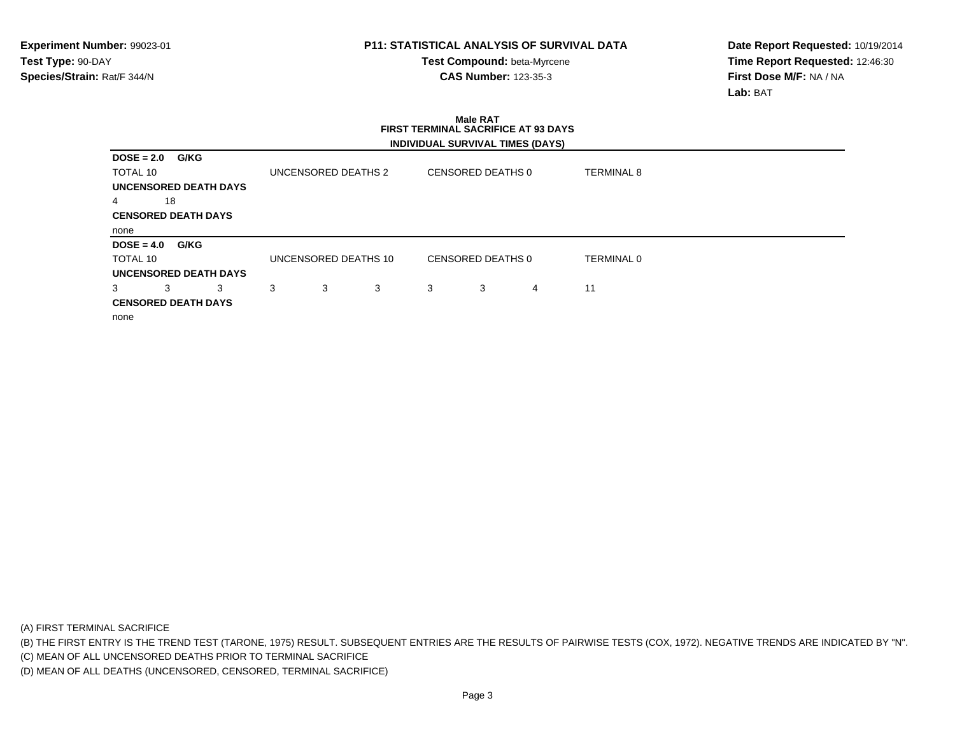**Test Compound:** beta-Myrcene**CAS Number:** 123-35-3

**Date Report Requested:** 10/19/2014**Time Report Requested:** 12:46:30**First Dose M/F:** NA / NA**Lab:** BAT

|                            | FIRST TERMINAL SACRIFICE AT 93 DAYS |   |   |                   |                                         |                   |  |  |  |
|----------------------------|-------------------------------------|---|---|-------------------|-----------------------------------------|-------------------|--|--|--|
|                            |                                     |   |   |                   | <b>INDIVIDUAL SURVIVAL TIMES (DAYS)</b> |                   |  |  |  |
| G/KG<br>$DOSE = 2.0$       |                                     |   |   |                   |                                         |                   |  |  |  |
| TOTAL 10                   | UNCENSORED DEATHS 2                 |   |   | CENSORED DEATHS 0 |                                         | <b>TERMINAL 8</b> |  |  |  |
| UNCENSORED DEATH DAYS      |                                     |   |   |                   |                                         |                   |  |  |  |
| 18<br>4                    |                                     |   |   |                   |                                         |                   |  |  |  |
| <b>CENSORED DEATH DAYS</b> |                                     |   |   |                   |                                         |                   |  |  |  |
| none                       |                                     |   |   |                   |                                         |                   |  |  |  |
| G/KG<br>$DOSE = 4.0$       |                                     |   |   |                   |                                         |                   |  |  |  |
| TOTAL 10                   | UNCENSORED DEATHS 10                |   |   | CENSORED DEATHS 0 |                                         | <b>TERMINAL 0</b> |  |  |  |
| UNCENSORED DEATH DAYS      |                                     |   |   |                   |                                         |                   |  |  |  |
| 3<br>3<br>3                | 3<br>3                              | 3 | 3 | 3                 | 4                                       | 11                |  |  |  |
| <b>CENSORED DEATH DAYS</b> |                                     |   |   |                   |                                         |                   |  |  |  |
| none                       |                                     |   |   |                   |                                         |                   |  |  |  |

**Male RAT**

(A) FIRST TERMINAL SACRIFICE

(B) THE FIRST ENTRY IS THE TREND TEST (TARONE, 1975) RESULT. SUBSEQUENT ENTRIES ARE THE RESULTS OF PAIRWISE TESTS (COX, 1972). NEGATIVE TRENDS ARE INDICATED BY "N".

(C) MEAN OF ALL UNCENSORED DEATHS PRIOR TO TERMINAL SACRIFICE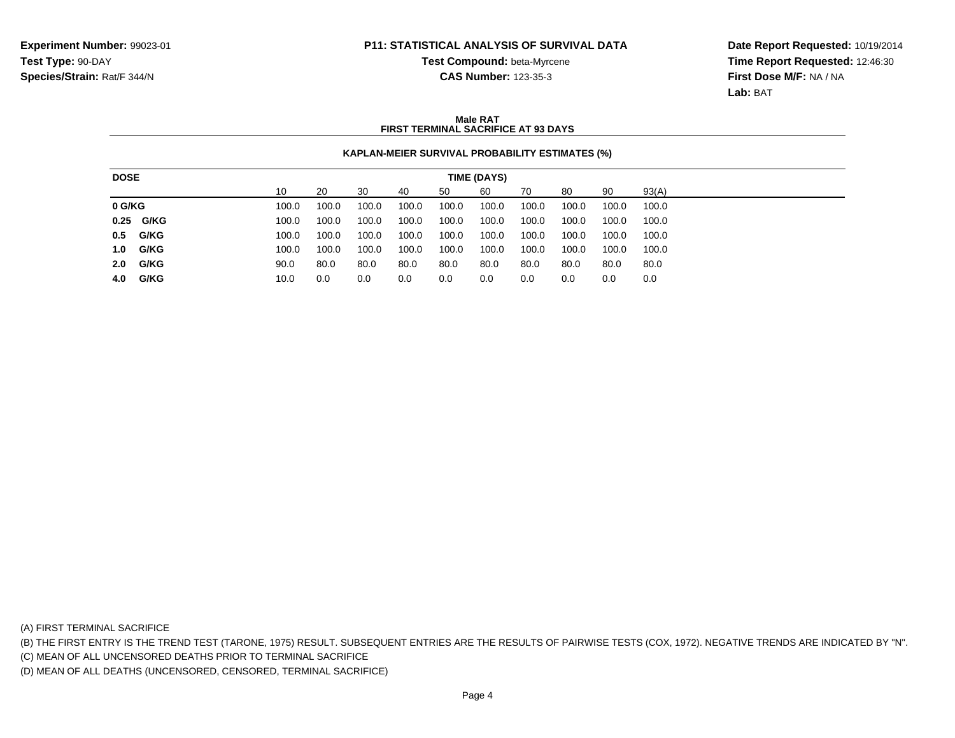**Test Compound:** beta-Myrcene

**Date Report Requested:** 10/19/2014**Time Report Requested:** 12:46:30**First Dose M/F:** NA / NA**Lab:** BAT

# **CAS Number:** 123-35-3

#### **Male RATFIRST TERMINAL SACRIFICE AT 93 DAYS**

#### **KAPLAN-MEIER SURVIVAL PROBABILITY ESTIMATES (%)**

| <b>DOSE</b> |           |    | TIME (DAYS) |       |       |       |       |       |       |       |       |       |
|-------------|-----------|----|-------------|-------|-------|-------|-------|-------|-------|-------|-------|-------|
|             |           | 10 |             | 20    | 30    | 40    | 50    | 60    | 70    | 80    | 90    | 93(A) |
| 0 G/KG      |           |    | 100.0       | 100.0 | 100.0 | 100.0 | 100.0 | 100.0 | 100.0 | 100.0 | 100.0 | 100.0 |
|             | 0.25 G/KG |    | 100.0       | 100.0 | 100.0 | 100.0 | 100.0 | 100.0 | 100.0 | 100.0 | 100.0 | 100.0 |
|             | 0.5 G/KG  |    | 100.0       | 100.0 | 100.0 | 100.0 | 100.0 | 100.0 | 100.0 | 100.0 | 100.0 | 100.0 |
| 1.0         | G/KG      |    | 100.0       | 100.0 | 100.0 | 100.0 | 100.0 | 100.0 | 100.0 | 100.0 | 100.0 | 100.0 |
| 2.0         | G/KG      |    | 90.0        | 80.0  | 80.0  | 80.0  | 80.0  | 80.0  | 80.0  | 80.0  | 80.0  | 80.0  |
|             | 4.0 G/KG  |    | 10.0        | 0.0   | 0.0   | 0.0   | 0.0   | 0.0   | 0.0   | 0.0   | 0.0   | 0.0   |

(A) FIRST TERMINAL SACRIFICE

(B) THE FIRST ENTRY IS THE TREND TEST (TARONE, 1975) RESULT. SUBSEQUENT ENTRIES ARE THE RESULTS OF PAIRWISE TESTS (COX, 1972). NEGATIVE TRENDS ARE INDICATED BY "N".

(C) MEAN OF ALL UNCENSORED DEATHS PRIOR TO TERMINAL SACRIFICE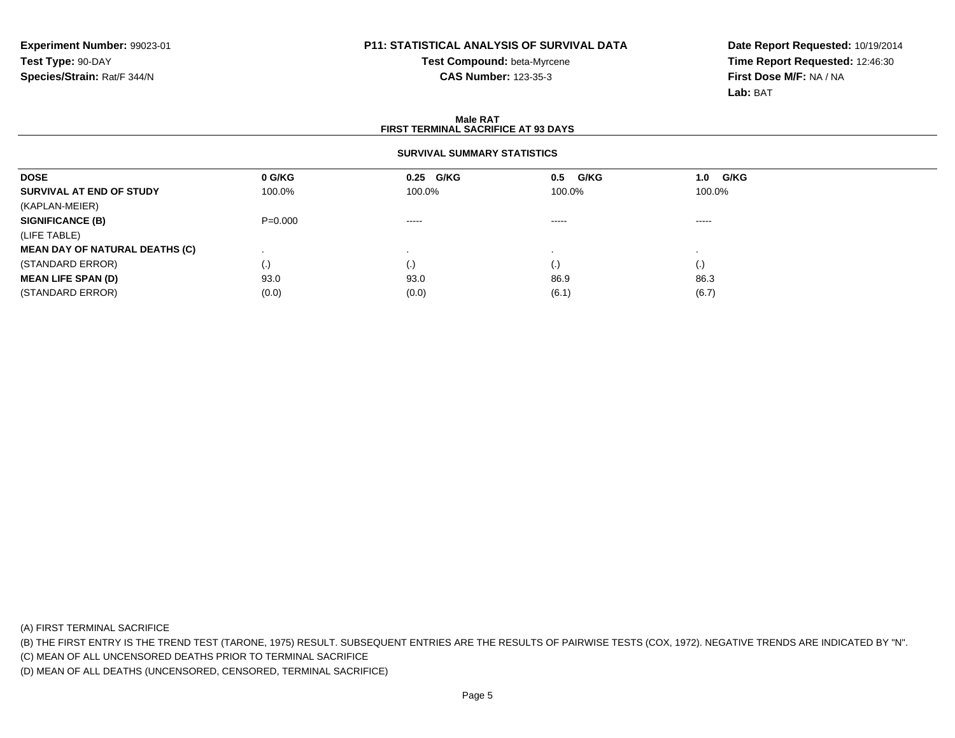## **Test Compound:** beta-Myrcene**CAS Number:** 123-35-3

**Date Report Requested:** 10/19/2014**Time Report Requested:** 12:46:30**First Dose M/F:** NA / NA**Lab:** BAT

#### **Male RAT FIRST TERMINAL SACRIFICE AT 93 DAYSSURVIVAL SUMMARY STATISTICSDOSE 0 G/KG 0.25 G/KG 0.5 G/KG 1.0 G/KG SURVIVAL AT END OF STUDY** 100.0% 100.0% 100.0% 100.0% (KAPLAN-MEIER)**SIGNIFICANCE (B)** P=0.000 ----- ----- ----- (LIFE TABLE) **MEAN DAY OF NATURAL DEATHS (C)** . . . . (STANDARD ERROR) (.) (.) (.) (.) **MEAN LIFE SPAN (D)** 93.0 93.0 86.9 86.3 (STANDARD ERROR)(0.0) (0.0) (0.0) (0.0) (6.1) (6.1) (6.7)

(A) FIRST TERMINAL SACRIFICE

(B) THE FIRST ENTRY IS THE TREND TEST (TARONE, 1975) RESULT. SUBSEQUENT ENTRIES ARE THE RESULTS OF PAIRWISE TESTS (COX, 1972). NEGATIVE TRENDS ARE INDICATED BY "N".

(C) MEAN OF ALL UNCENSORED DEATHS PRIOR TO TERMINAL SACRIFICE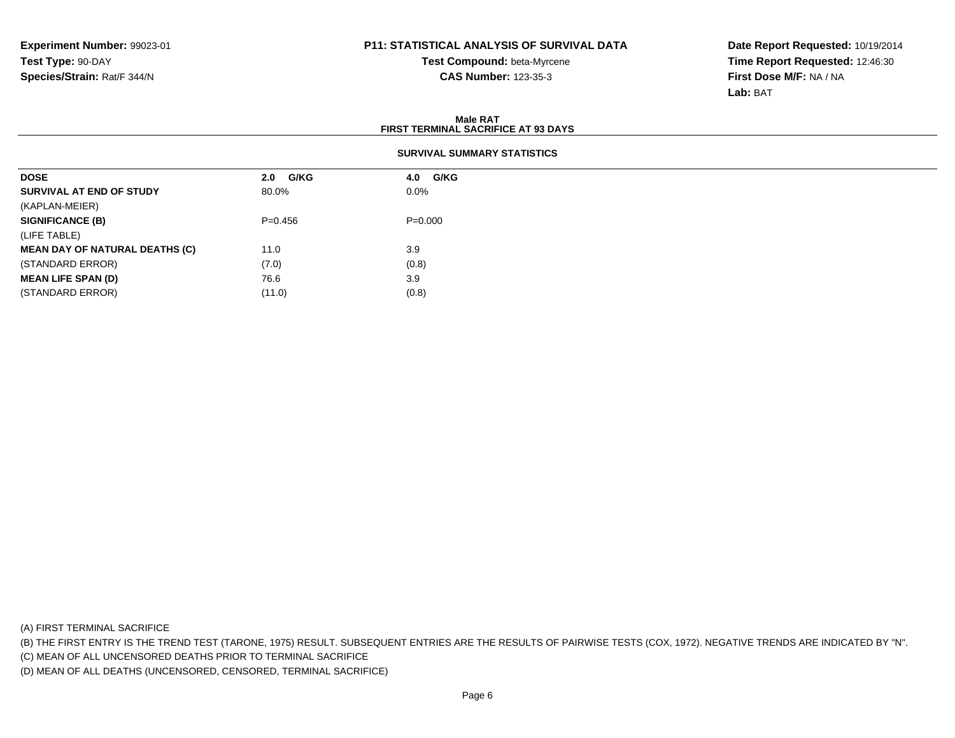**Test Compound:** beta-Myrcene**CAS Number:** 123-35-3

**Date Report Requested:** 10/19/2014**Time Report Requested:** 12:46:30**First Dose M/F:** NA / NA**Lab:** BAT

| Male RAT<br><b>FIRST TERMINAL SACRIFICE AT 93 DAYS</b> |             |             |  |  |  |  |  |  |
|--------------------------------------------------------|-------------|-------------|--|--|--|--|--|--|
| <b>SURVIVAL SUMMARY STATISTICS</b>                     |             |             |  |  |  |  |  |  |
| <b>DOSE</b>                                            | G/KG<br>2.0 | 4.0 G/KG    |  |  |  |  |  |  |
| SURVIVAL AT END OF STUDY                               | 80.0%       | $0.0\%$     |  |  |  |  |  |  |
| (KAPLAN-MEIER)                                         |             |             |  |  |  |  |  |  |
| <b>SIGNIFICANCE (B)</b>                                | $P = 0.456$ | $P = 0.000$ |  |  |  |  |  |  |
| (LIFE TABLE)                                           |             |             |  |  |  |  |  |  |
| <b>MEAN DAY OF NATURAL DEATHS (C)</b>                  | 11.0        | 3.9         |  |  |  |  |  |  |
| (STANDARD ERROR)                                       | (7.0)       | (0.8)       |  |  |  |  |  |  |
| <b>MEAN LIFE SPAN (D)</b>                              | 76.6        | 3.9         |  |  |  |  |  |  |
| (STANDARD ERROR)                                       | (11.0)      | (0.8)       |  |  |  |  |  |  |

(A) FIRST TERMINAL SACRIFICE

(B) THE FIRST ENTRY IS THE TREND TEST (TARONE, 1975) RESULT. SUBSEQUENT ENTRIES ARE THE RESULTS OF PAIRWISE TESTS (COX, 1972). NEGATIVE TRENDS ARE INDICATED BY "N".

(C) MEAN OF ALL UNCENSORED DEATHS PRIOR TO TERMINAL SACRIFICE

(D) MEAN OF ALL DEATHS (UNCENSORED, CENSORED, TERMINAL SACRIFICE)

 $(11.0)$   $(0.8)$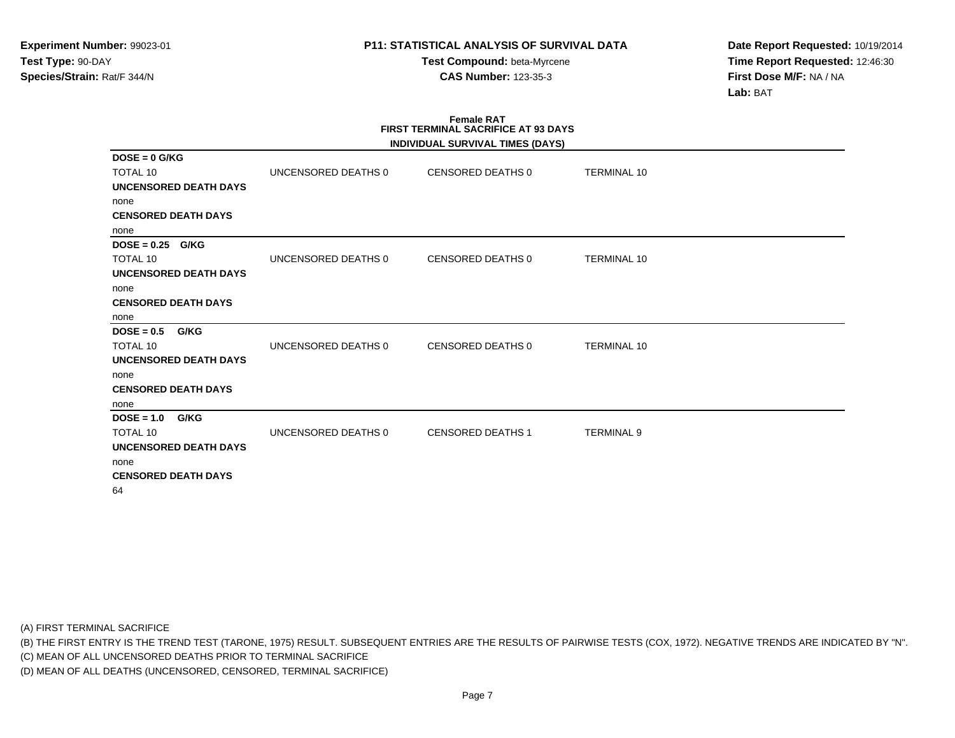**Test Compound:** beta-Myrcene**CAS Number:** 123-35-3

**Date Report Requested:** 10/19/2014**Time Report Requested:** 12:46:30**First Dose M/F:** NA / NA**Lab:** BAT

#### **Female RAT FIRST TERMINAL SACRIFICE AT 93 DAYSINDIVIDUAL SURVIVAL TIMES (DAYS)**

|                              |                     | INDIVIDUAL SURVIVAL TIMES (DATS) |                    |  |
|------------------------------|---------------------|----------------------------------|--------------------|--|
| $DOSE = 0$ G/KG<br>TOTAL 10  | UNCENSORED DEATHS 0 | CENSORED DEATHS 0                | <b>TERMINAL 10</b> |  |
| <b>UNCENSORED DEATH DAYS</b> |                     |                                  |                    |  |
| none                         |                     |                                  |                    |  |
| <b>CENSORED DEATH DAYS</b>   |                     |                                  |                    |  |
| none                         |                     |                                  |                    |  |
| $DOSE = 0.25$ G/KG           |                     |                                  |                    |  |
| <b>TOTAL 10</b>              | UNCENSORED DEATHS 0 | CENSORED DEATHS 0                | <b>TERMINAL 10</b> |  |
| UNCENSORED DEATH DAYS        |                     |                                  |                    |  |
| none                         |                     |                                  |                    |  |
| <b>CENSORED DEATH DAYS</b>   |                     |                                  |                    |  |
| none                         |                     |                                  |                    |  |
| $DOSE = 0.5$<br>G/KG         |                     |                                  |                    |  |
| <b>TOTAL 10</b>              | UNCENSORED DEATHS 0 | CENSORED DEATHS 0                | <b>TERMINAL 10</b> |  |
| <b>UNCENSORED DEATH DAYS</b> |                     |                                  |                    |  |
| none                         |                     |                                  |                    |  |
| <b>CENSORED DEATH DAYS</b>   |                     |                                  |                    |  |
| none                         |                     |                                  |                    |  |
| $DOSE = 1.0$<br>G/KG         |                     |                                  |                    |  |
| <b>TOTAL 10</b>              | UNCENSORED DEATHS 0 | <b>CENSORED DEATHS 1</b>         | <b>TERMINAL 9</b>  |  |
| UNCENSORED DEATH DAYS        |                     |                                  |                    |  |
| none                         |                     |                                  |                    |  |
| <b>CENSORED DEATH DAYS</b>   |                     |                                  |                    |  |
| 64                           |                     |                                  |                    |  |
|                              |                     |                                  |                    |  |

(A) FIRST TERMINAL SACRIFICE

(B) THE FIRST ENTRY IS THE TREND TEST (TARONE, 1975) RESULT. SUBSEQUENT ENTRIES ARE THE RESULTS OF PAIRWISE TESTS (COX, 1972). NEGATIVE TRENDS ARE INDICATED BY "N".

(C) MEAN OF ALL UNCENSORED DEATHS PRIOR TO TERMINAL SACRIFICE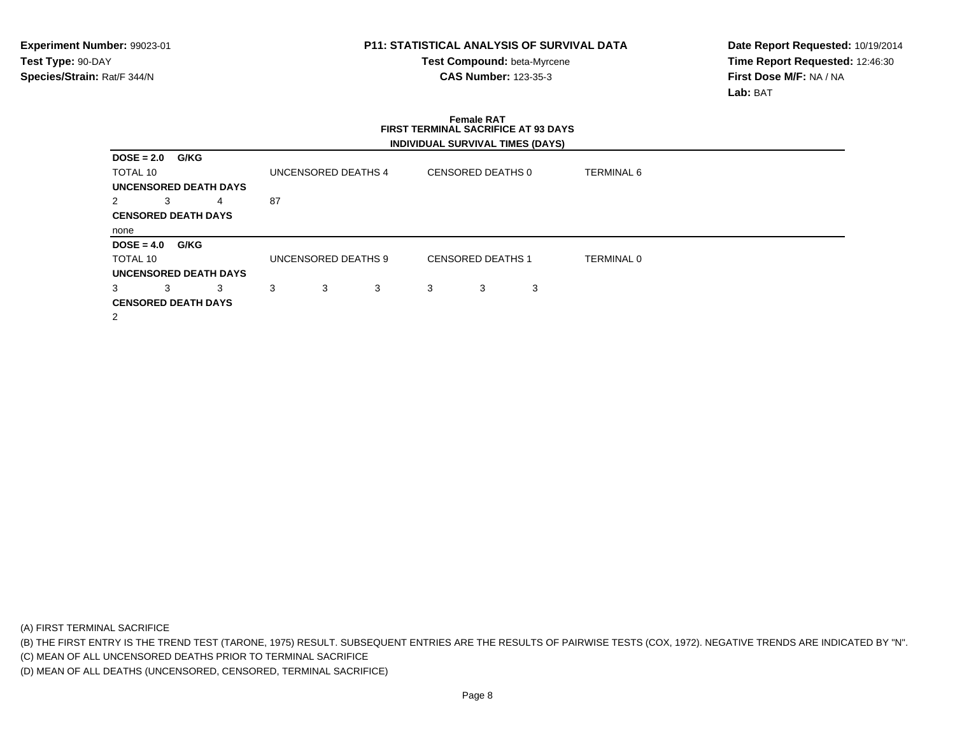**Test Compound:** beta-Myrcene**CAS Number:** 123-35-3

**Date Report Requested:** 10/19/2014**Time Report Requested:** 12:46:30**First Dose M/F:** NA / NA**Lab:** BAT

# **Female RAT FIRST TERMINAL SACRIFICE AT 93 DAYSINDIVIDUAL SURVIVAL TIMES (DAYS)**

| <b>DOSE = 2.0</b> |   | G/KG                         |    |                     |   |   |                          |   |                   |  |  |
|-------------------|---|------------------------------|----|---------------------|---|---|--------------------------|---|-------------------|--|--|
| TOTAL 10          |   |                              |    | UNCENSORED DEATHS 4 |   |   | CENSORED DEATHS 0        |   | <b>TERMINAL 6</b> |  |  |
|                   |   | <b>UNCENSORED DEATH DAYS</b> |    |                     |   |   |                          |   |                   |  |  |
| 2                 | 3 | 4                            | 87 |                     |   |   |                          |   |                   |  |  |
|                   |   | <b>CENSORED DEATH DAYS</b>   |    |                     |   |   |                          |   |                   |  |  |
| none              |   |                              |    |                     |   |   |                          |   |                   |  |  |
| $DOSE = 4.0$      |   | G/KG                         |    |                     |   |   |                          |   |                   |  |  |
| TOTAL 10          |   |                              |    | UNCENSORED DEATHS 9 |   |   | <b>CENSORED DEATHS 1</b> |   | <b>TERMINAL 0</b> |  |  |
|                   |   | <b>UNCENSORED DEATH DAYS</b> |    |                     |   |   |                          |   |                   |  |  |
| 3                 | 3 | 3                            | 3  | 3                   | 3 | 3 | 3                        | 3 |                   |  |  |
|                   |   | <b>CENSORED DEATH DAYS</b>   |    |                     |   |   |                          |   |                   |  |  |
| 2                 |   |                              |    |                     |   |   |                          |   |                   |  |  |

(A) FIRST TERMINAL SACRIFICE

(B) THE FIRST ENTRY IS THE TREND TEST (TARONE, 1975) RESULT. SUBSEQUENT ENTRIES ARE THE RESULTS OF PAIRWISE TESTS (COX, 1972). NEGATIVE TRENDS ARE INDICATED BY "N".

(C) MEAN OF ALL UNCENSORED DEATHS PRIOR TO TERMINAL SACRIFICE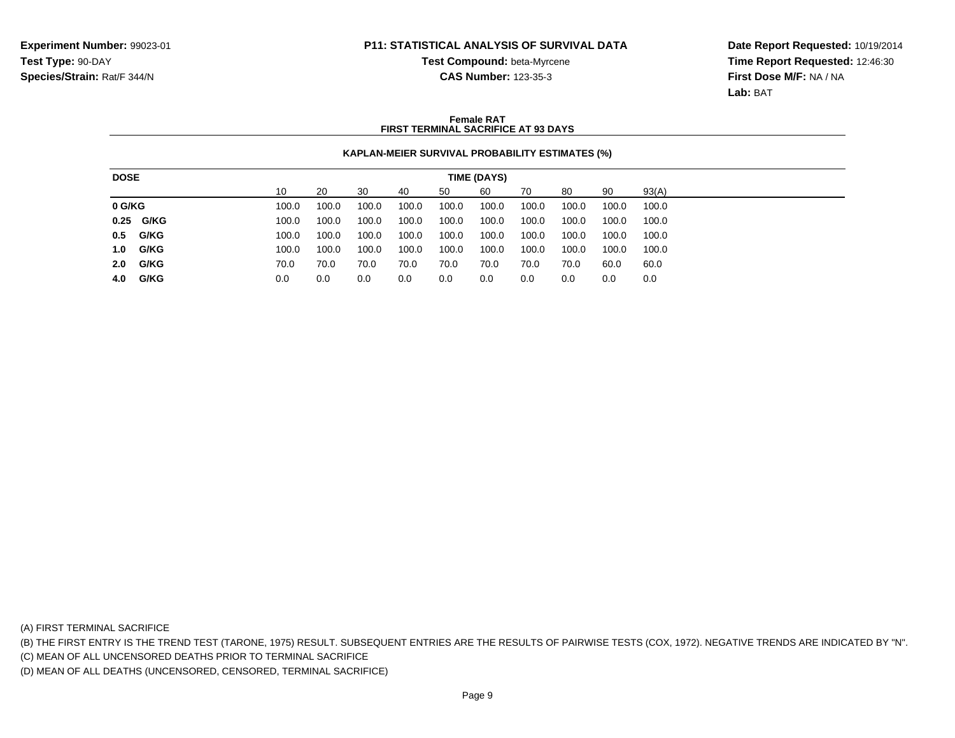**Test Compound:** beta-Myrcene

**Date Report Requested:** 10/19/2014**Time Report Requested:** 12:46:30**First Dose M/F:** NA / NA**Lab:** BAT

## **CAS Number:** 123-35-3

#### **Female RATFIRST TERMINAL SACRIFICE AT 93 DAYS**

#### **KAPLAN-MEIER SURVIVAL PROBABILITY ESTIMATES (%)**

| <b>DOSE</b> |           | TIME (DAYS) |       |       |       |       |       |       |       |       |       |
|-------------|-----------|-------------|-------|-------|-------|-------|-------|-------|-------|-------|-------|
|             |           | 10          | 20    | 30    | 40    | 50    | 60    | 70    | 80    | 90    | 93(A) |
| 0 G/KG      |           | 100.0       | 100.0 | 100.0 | 100.0 | 100.0 | 100.0 | 100.0 | 100.0 | 100.0 | 100.0 |
|             | 0.25 G/KG | 100.0       | 100.0 | 100.0 | 100.0 | 100.0 | 100.0 | 100.0 | 100.0 | 100.0 | 100.0 |
|             | 0.5 G/KG  | 100.0       | 100.0 | 100.0 | 100.0 | 100.0 | 100.0 | 100.0 | 100.0 | 100.0 | 100.0 |
|             | 1.0 G/KG  | 100.0       | 100.0 | 100.0 | 100.0 | 100.0 | 100.0 | 100.0 | 100.0 | 100.0 | 100.0 |
|             | 2.0 G/KG  | 70.0        | 70.0  | 70.0  | 70.0  | 70.0  | 70.0  | 70.0  | 70.0  | 60.0  | 60.0  |
|             | 4.0 G/KG  | 0.0         | 0.0   | 0.0   | 0.0   | 0.0   | 0.0   | 0.0   | 0.0   | 0.0   | 0.0   |

(A) FIRST TERMINAL SACRIFICE

(B) THE FIRST ENTRY IS THE TREND TEST (TARONE, 1975) RESULT. SUBSEQUENT ENTRIES ARE THE RESULTS OF PAIRWISE TESTS (COX, 1972). NEGATIVE TRENDS ARE INDICATED BY "N".

(C) MEAN OF ALL UNCENSORED DEATHS PRIOR TO TERMINAL SACRIFICE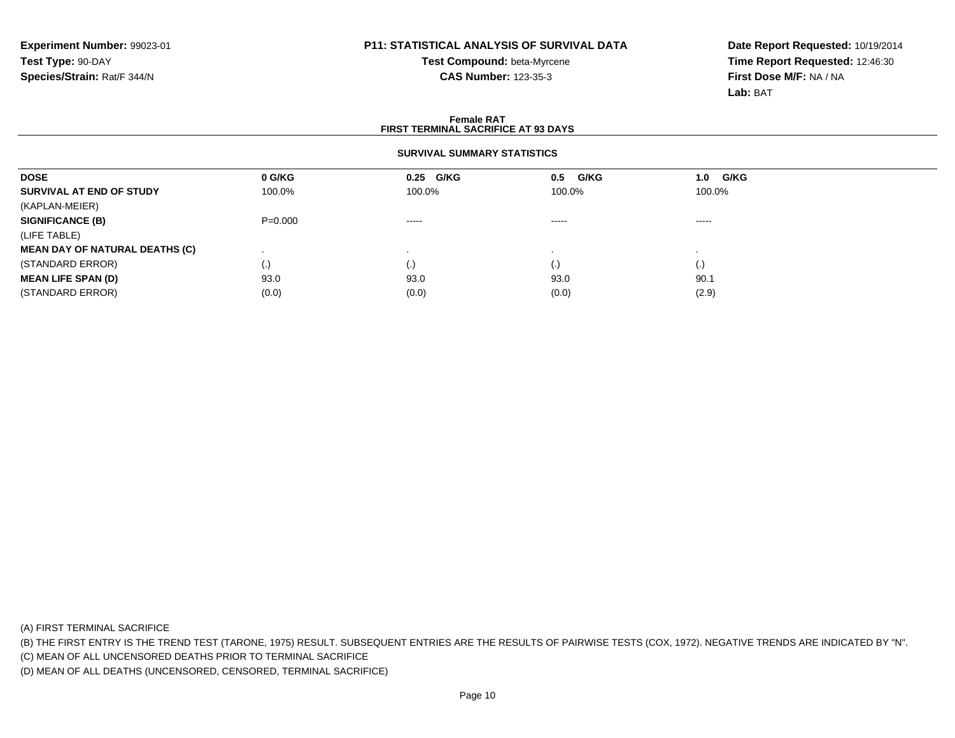# **Test Compound:** beta-Myrcene**CAS Number:** 123-35-3

**Date Report Requested:** 10/19/2014**Time Report Requested:** 12:46:30**First Dose M/F:** NA / NA**Lab:** BAT

#### **Female RATFIRST TERMINAL SACRIFICE AT 93 DAYS**

#### **SURVIVAL SUMMARY STATISTICS**

| <b>DOSE</b>                           | 0 G/KG    | 0.25 G/KG              | G/KG<br>0.5 | 1.0 G/KG                 |  |
|---------------------------------------|-----------|------------------------|-------------|--------------------------|--|
| SURVIVAL AT END OF STUDY              | 100.0%    | 100.0%                 | 100.0%      | 100.0%                   |  |
| (KAPLAN-MEIER)                        |           |                        |             |                          |  |
| <b>SIGNIFICANCE (B)</b>               | $P=0.000$ | $\cdots \cdots \cdots$ | $\cdots$    | $\cdots$                 |  |
| (LIFE TABLE)                          |           |                        |             |                          |  |
| <b>MEAN DAY OF NATURAL DEATHS (C)</b> |           |                        |             |                          |  |
| (STANDARD ERROR)                      | (.)       | (.)                    | $\cdot$     | $\left\{ \cdot \right\}$ |  |
| <b>MEAN LIFE SPAN (D)</b>             | 93.0      | 93.0                   | 93.0        | 90.1                     |  |
| (STANDARD ERROR)                      | (0.0)     | (0.0)                  | (0.0)       | (2.9)                    |  |

(A) FIRST TERMINAL SACRIFICE

(B) THE FIRST ENTRY IS THE TREND TEST (TARONE, 1975) RESULT. SUBSEQUENT ENTRIES ARE THE RESULTS OF PAIRWISE TESTS (COX, 1972). NEGATIVE TRENDS ARE INDICATED BY "N".

(C) MEAN OF ALL UNCENSORED DEATHS PRIOR TO TERMINAL SACRIFICE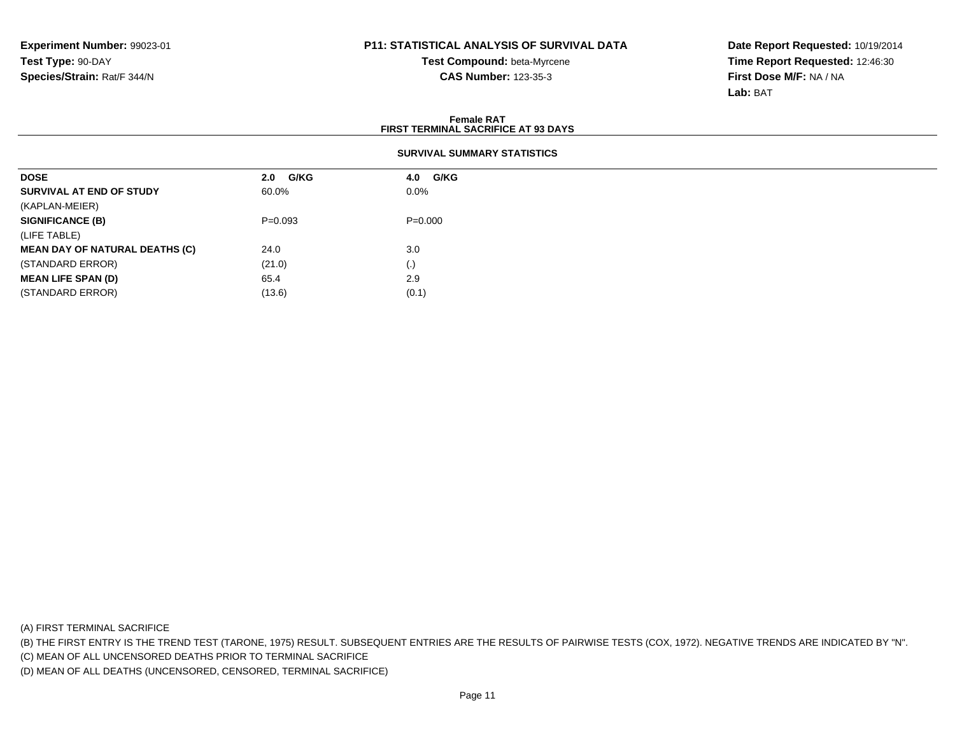**Test Compound:** beta-Myrcene**CAS Number:** 123-35-3

**Date Report Requested:** 10/19/2014**Time Report Requested:** 12:46:30**First Dose M/F:** NA / NA**Lab:** BAT

| <b>Female RAT</b><br><b>FIRST TERMINAL SACRIFICE AT 93 DAYS</b> |           |                    |  |  |  |  |  |  |
|-----------------------------------------------------------------|-----------|--------------------|--|--|--|--|--|--|
| <b>SURVIVAL SUMMARY STATISTICS</b>                              |           |                    |  |  |  |  |  |  |
| <b>DOSE</b>                                                     | 2.0 G/KG  | <b>G/KG</b><br>4.0 |  |  |  |  |  |  |
| SURVIVAL AT END OF STUDY                                        | 60.0%     | $0.0\%$            |  |  |  |  |  |  |
| (KAPLAN-MEIER)                                                  |           |                    |  |  |  |  |  |  |
| <b>SIGNIFICANCE (B)</b>                                         | $P=0.093$ | $P=0.000$          |  |  |  |  |  |  |
| (LIFE TABLE)                                                    |           |                    |  |  |  |  |  |  |
| <b>MEAN DAY OF NATURAL DEATHS (C)</b>                           | 24.0      | 3.0                |  |  |  |  |  |  |
| (STANDARD ERROR)                                                | (21.0)    | $\left( . \right)$ |  |  |  |  |  |  |
| <b>MEAN LIFE SPAN (D)</b>                                       | 65.4      | 2.9                |  |  |  |  |  |  |
| (STANDARD ERROR)                                                | (13.6)    | (0.1)              |  |  |  |  |  |  |

(A) FIRST TERMINAL SACRIFICE

(B) THE FIRST ENTRY IS THE TREND TEST (TARONE, 1975) RESULT. SUBSEQUENT ENTRIES ARE THE RESULTS OF PAIRWISE TESTS (COX, 1972). NEGATIVE TRENDS ARE INDICATED BY "N".

(C) MEAN OF ALL UNCENSORED DEATHS PRIOR TO TERMINAL SACRIFICE

(D) MEAN OF ALL DEATHS (UNCENSORED, CENSORED, TERMINAL SACRIFICE)

 $(13.6)$   $(0.1)$